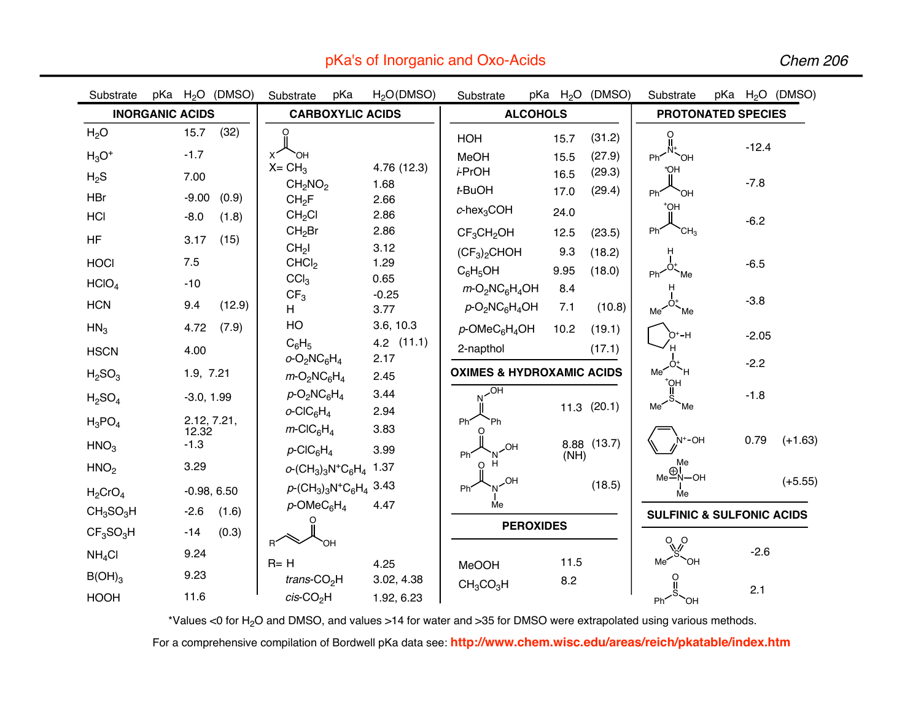| Substrate                                                   | pKa H <sub>2</sub> O (DMSO) |                | Substrate                                                                                                                                                                        | pKa | H <sub>2</sub> O(DMSO)      | Substrate                                                           |                  |              | pKa H <sub>2</sub> O (DMSO) | Substrate                                            |  |         | pKa $H_2O$ (DMSO) |
|-------------------------------------------------------------|-----------------------------|----------------|----------------------------------------------------------------------------------------------------------------------------------------------------------------------------------|-----|-----------------------------|---------------------------------------------------------------------|------------------|--------------|-----------------------------|------------------------------------------------------|--|---------|-------------------|
|                                                             | <b>INORGANIC ACIDS</b>      |                | <b>CARBOXYLIC ACIDS</b>                                                                                                                                                          |     |                             | <b>ALCOHOLS</b>                                                     |                  |              |                             | <b>PROTONATED SPECIES</b>                            |  |         |                   |
| H <sub>2</sub> O<br>$H_3O^+$                                | 15.7<br>$-1.7$              | (32)           | `OH                                                                                                                                                                              |     |                             | HOH<br>MeOH                                                         |                  | 15.7<br>15.5 | (31.2)<br>(27.9)            | O<br>Ph<                                             |  | $-12.4$ |                   |
| $H_2S$                                                      | 7.00                        |                | $X = CH3$<br>CH <sub>2</sub> NO <sub>2</sub>                                                                                                                                     |     | 4.76 (12.3)<br>1.68         | i-PrOH<br>t-BuOH                                                    |                  | 16.5<br>17.0 | (29.3)<br>(29.4)            | `OH<br>۴OН                                           |  | $-7.8$  |                   |
| <b>HBr</b><br>HCI                                           | $-9.00$<br>$-8.0$           | (0.9)<br>(1.8) | CH <sub>2</sub> F<br>CH <sub>2</sub> Cl                                                                                                                                          |     | 2.66<br>2.86                | $c$ -hex <sub>3</sub> COH                                           |                  | 24.0         |                             | Ph'<br>ЮH<br>†ОH                                     |  | $-6.2$  |                   |
| <b>HF</b>                                                   | 3.17                        | (15)           | CH <sub>2</sub> Br<br>CH <sub>2</sub> I                                                                                                                                          |     | 2.86<br>3.12                | $CF_3CH_2OH$<br>$(CF_3)_2$ CHOH                                     |                  | 12.5<br>9.3  | (23.5)<br>(18.2)            | Ph'<br>`CH3<br>н                                     |  |         |                   |
| <b>HOCI</b><br>HCIO <sub>4</sub>                            | 7.5<br>$-10$                |                | CHCl <sub>2</sub><br>CCI <sub>3</sub>                                                                                                                                            |     | 1.29<br>0.65                | $C_6H_5OH$<br>$m$ -O <sub>2</sub> NC <sub>6</sub> H <sub>4</sub> OH |                  | 9.95<br>8.4  | (18.0)                      | Ph'<br>Me                                            |  | $-6.5$  |                   |
| <b>HCN</b>                                                  | 9.4                         | (12.9)         | CF <sub>3</sub><br>H                                                                                                                                                             |     | $-0.25$<br>3.77             | $p$ -O <sub>2</sub> NC <sub>6</sub> H <sub>4</sub> OH               |                  | 7.1          | (10.8)                      | Me<br>Me <sup>2</sup>                                |  | $-3.8$  |                   |
| HN <sub>3</sub><br><b>HSCN</b>                              | 4.72<br>4.00                | (7.9)          | HO<br>$C_6H_5$                                                                                                                                                                   |     | 3.6, 10.3<br>$4.2$ $(11.1)$ | $p$ -OMeC $_6$ H <sub>4</sub> OH<br>2-napthol                       |                  | 10.2         | (19.1)<br>(17.1)            | O+-H                                                 |  | $-2.05$ |                   |
| H <sub>2</sub> SO <sub>3</sub>                              | 1.9, 7.21                   |                | $o$ -O <sub>2</sub> NC <sub>6</sub> H <sub>4</sub><br>$m$ -O <sub>2</sub> NC <sub>6</sub> H <sub>4</sub>                                                                         |     | 2.17<br>2.45                | <b>OXIMES &amp; HYDROXAMIC ACIDS</b>                                |                  |              |                             | Me <sup>2</sup><br>Ή.<br>$HQ^*$                      |  | $-2.2$  |                   |
| H <sub>2</sub> SO <sub>4</sub>                              | $-3.0, 1.99$                | 2.12, 7.21,    | $p$ -O <sub>2</sub> NC <sub>6</sub> H <sub>4</sub><br>$o$ -CIC $_6$ H <sub>4</sub>                                                                                               |     | 3.44<br>2.94                | HO.<br>Ph <sup>*</sup><br>Ph                                        |                  |              | $11.3$ (20.1)               | Me<br>`Me                                            |  | $-1.8$  |                   |
| $H_3PO_4$<br>HNO <sub>3</sub>                               | 12.32<br>$-1.3$             |                | $m$ -CIC <sub>6</sub> H <sub>4</sub><br>$p$ -CIC <sub>6</sub> H <sub>4</sub>                                                                                                     |     | 3.83<br>3.99                | <b>HO</b><br>Ph <sup>*</sup>                                        |                  | (NH)         | 8.88 (13.7)                 | $N^+$ OH                                             |  | 0.79    | $(+1.63)$         |
| HNO <sub>2</sub>                                            | 3.29                        | $-0.98, 6.50$  | $o$ -(CH <sub>3</sub> ) <sub>3</sub> N <sup>+</sup> C <sub>6</sub> H <sub>4</sub> 1.37<br>$p$ -(CH <sub>3</sub> ) <sub>3</sub> N <sup>+</sup> C <sub>6</sub> H <sub>4</sub> 3.43 |     |                             | H<br>ი<br>HO.<br>Ph                                                 |                  |              | (18.5)                      | Me<br>$Me \overset{\bigoplus}{\longrightarrow}$ N-OH |  |         | $(+5.55)$         |
| $H_2$ CrO <sub>4</sub><br>CH <sub>3</sub> SO <sub>3</sub> H | $-2.6$                      | (1.6)          | $p$ -OMeC $_6$ H <sub>4</sub>                                                                                                                                                    |     | 4.47                        | Me                                                                  |                  |              |                             | Me<br><b>SULFINIC &amp; SULFONIC ACIDS</b>           |  |         |                   |
| CF <sub>3</sub> SO <sub>3</sub> H                           | $-14$                       | (0.3)          | $R^2$                                                                                                                                                                            | ЮH  |                             |                                                                     | <b>PEROXIDES</b> |              |                             | $\sqrt{6}$                                           |  |         |                   |
| NH <sub>4</sub> Cl                                          | 9.24                        |                | $R = H$                                                                                                                                                                          |     | 4.25                        | <b>MeOOH</b>                                                        |                  | 11.5         |                             | Me <sup>2</sup><br>Юʻ.                               |  | $-2.6$  |                   |
| $B(OH)_3$<br><b>HOOH</b>                                    | 9.23<br>11.6                |                | trans- $CO2H$<br>$cis$ -CO <sub>2</sub> H                                                                                                                                        |     | 3.02, 4.38<br>1.92, 6.23    | CH <sub>3</sub> CO <sub>3</sub> H                                   |                  | 8.2          |                             | `OH<br>Ph'                                           |  | 2.1     |                   |

pKa's of Inorganic and Oxo-Acids

Chem 206

\*Values <0 for H<sub>2</sub>O and DMSO, and values >14 for water and >35 for DMSO were extrapolated using various methods.

For a comprehensive compilation of Bordwell pKa data see: **http://www.chem.wisc.edu/areas/reich/pkatable/index.htm**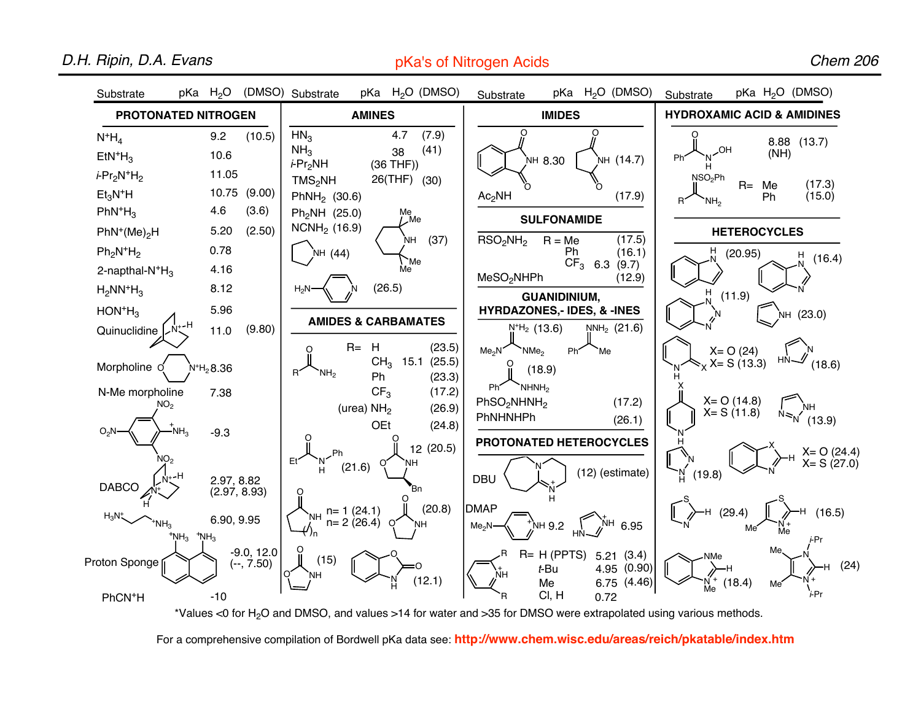## D.H. Ripin, D.A. Evans

pKa's of Nitrogen Acids

Chem 206



\*Values <0 for H2O and DMSO, and values >14 for water and >35 for DMSO were extrapolated using various methods.

For a comprehensive compilation of Bordwell pKa data see: **http://www.chem.wisc.edu/areas/reich/pkatable/index.htm**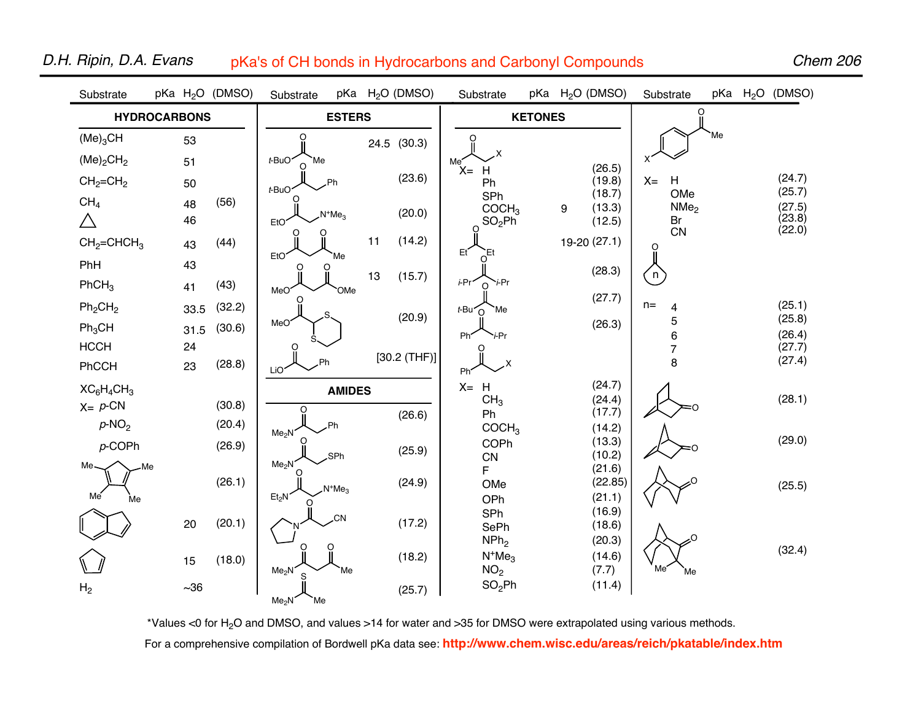| O<br><b>HYDROCARBONS</b><br><b>ESTERS</b><br><b>KETONES</b><br>Me'<br>(Me) <sub>3</sub> CH<br>O<br>Ο<br>53<br>24.5 (30.3)<br>(Me) <sub>2</sub> CH <sub>2</sub><br>t-BuO <sup>-</sup><br>Me |                  |
|--------------------------------------------------------------------------------------------------------------------------------------------------------------------------------------------|------------------|
|                                                                                                                                                                                            |                  |
|                                                                                                                                                                                            |                  |
| 51<br>Me                                                                                                                                                                                   |                  |
| (26.5)<br>$X = H$<br>(23.6)<br>H<br>(19.8)<br>$X =$<br>$CH2=CH2$<br>Ph<br>50<br>Ph                                                                                                         | (24.7)           |
| $t$ -BuO<br>(18.7)<br>OMe<br>SPh<br>CH <sub>4</sub><br>(56)<br>48<br>NMe <sub>2</sub><br>(13.3)<br>COCH <sub>3</sub>                                                                       | (25.7)<br>(27.5) |
| 9<br>(20.0)<br>$N^+Me_3$<br>$\triangle$<br>46<br>SO <sub>2</sub> Ph<br>(12.5)<br>Br<br>EtO <sup>®</sup><br>O                                                                               | (23.8)           |
| CN<br>11<br>19-20 (27.1)<br>(14.2)<br>$CH2=CHCH3$<br>(44)<br>43<br>O                                                                                                                       | (22.0)           |
| Et<br>Έt<br>EtO <sup>®</sup><br>Me<br>PhH<br>43<br>O                                                                                                                                       |                  |
| (28.3)<br>$\left( n \right)$<br>13<br>(15.7)<br>i-Pr <sup>-</sup><br>` <i>i</i> -Pr<br>PhCH <sub>3</sub><br>(43)<br>$\Omega$<br>41<br>MeO <sup>®</sup><br>OMe                              |                  |
| (27.7)<br>$n=$<br>Ph <sub>2</sub> CH <sub>2</sub><br>(32.2)<br>33.5<br>4<br>t-Bu <sup>-</sup><br>Me                                                                                        | (25.1)           |
| (20.9)<br>5<br>MeO <sup>®</sup><br>(26.3)<br>$Ph_3CH$<br>(30.6)<br>31.5                                                                                                                    | (25.8)           |
| 6<br>Ph <sup>2</sup><br>i-Pr<br><b>HCCH</b><br>24<br>O<br>$\overline{7}$                                                                                                                   | (26.4)<br>(27.7) |
| [30.2 (THF)]<br>8<br>(28.8)<br>.X<br>PhCCH<br>23<br>LiO <sup>'</sup><br>Ph'                                                                                                                | (27.4)           |
| (24.7)<br>$X = H$<br>$XC_6H_4CH_3$<br><b>AMIDES</b>                                                                                                                                        |                  |
| CH <sub>3</sub><br>(24.4)<br>$X = p$ -CN<br>(30.8)<br>(17.7)<br>Ph<br>(26.6)                                                                                                               | (28.1)           |
| $p$ -NO <sub>2</sub><br>(20.4)<br><b>Ph</b><br>COCH <sub>3</sub><br>(14.2)<br>Me <sub>2</sub> N                                                                                            |                  |
| (13.3)<br>COPh<br>$p$ -COPh<br>(26.9)<br>(25.9)<br>(10.2)<br>SPh.                                                                                                                          | (29.0)           |
| ${\sf CN}$<br>Me <sub>2</sub> N<br>Me-<br>Me<br>(21.6)<br>F                                                                                                                                |                  |
| (26.1)<br>(24.9)<br>(22.85)<br>OMe<br>$N^+Me3$                                                                                                                                             | (25.5)           |
| Me<br>Et <sub>2</sub> N<br>(21.1)<br>OPh<br>Me<br>(16.9)                                                                                                                                   |                  |
| SPh<br><b>CN</b><br>(20.1)<br>(17.2)<br>20<br>(18.6)<br>SePh                                                                                                                               |                  |
| NPh <sub>2</sub><br>(20.3)                                                                                                                                                                 | (32.4)           |
| $N^+Me3$<br>(14.6)<br>(18.2)<br>(18.0)<br>15<br>Me                                                                                                                                         |                  |
| NO <sub>2</sub><br>(7.7)<br>Me <sub>2</sub> N<br>Me'<br>Me<br>SO <sub>2</sub> Ph<br>(11.4)<br>H <sub>2</sub><br>$\sim36$<br>(25.7)<br>Me <sub>2</sub> N<br>Me                              |                  |

## D.H. Ripin, D.A. Evans pKa's of CH bonds in Hydrocarbons and Carbonyl Compounds

Chem 206

\*Values <0 for H2O and DMSO, and values >14 for water and >35 for DMSO were extrapolated using various methods. For a comprehensive compilation of Bordwell pKa data see: **http://www.chem.wisc.edu/areas/reich/pkatable/index.htm**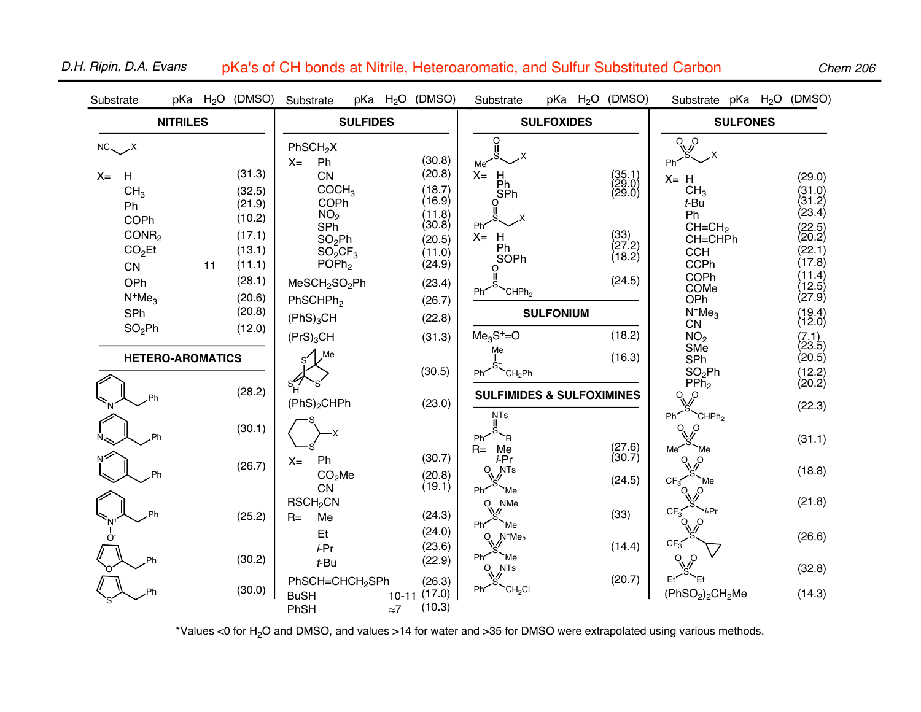| Substrate                                                                                                                                                          |  |    | pKa H <sub>2</sub> O (DMSO)                                                                                | Substrate                                                                                                                                                                                                                                                    | $pKa$ $H_2O$ |                                 | (DMSO)                                                                                                               | Substrate                                                                                                            |                  | $pKa$ $H_2O$ | (DMSO)                                                                 | Substrate pKa H <sub>2</sub> O (DMSO)                                                                                                                  |  |                                                                                                                                        |
|--------------------------------------------------------------------------------------------------------------------------------------------------------------------|--|----|------------------------------------------------------------------------------------------------------------|--------------------------------------------------------------------------------------------------------------------------------------------------------------------------------------------------------------------------------------------------------------|--------------|---------------------------------|----------------------------------------------------------------------------------------------------------------------|----------------------------------------------------------------------------------------------------------------------|------------------|--------------|------------------------------------------------------------------------|--------------------------------------------------------------------------------------------------------------------------------------------------------|--|----------------------------------------------------------------------------------------------------------------------------------------|
| <b>NITRILES</b>                                                                                                                                                    |  |    |                                                                                                            | <b>SULFIDES</b>                                                                                                                                                                                                                                              |              |                                 | <b>SULFOXIDES</b>                                                                                                    |                                                                                                                      |                  |              | <b>SULFONES</b>                                                        |                                                                                                                                                        |  |                                                                                                                                        |
| $NC_{\diagdown}$ X<br>$X =$<br>H<br>CH <sub>3</sub><br>Ph<br>COPh<br>CONR <sub>2</sub><br>CO <sub>2</sub> Et<br>CN<br>OPh<br>$N^+Me3$<br>SPh<br>SO <sub>2</sub> Ph |  | 11 | (31.3)<br>(32.5)<br>(21.9)<br>(10.2)<br>(17.1)<br>(13.1)<br>(11.1)<br>(28.1)<br>(20.6)<br>(20.8)<br>(12.0) | PhSCH <sub>2</sub> X<br>Ph<br>$X =$<br>CN<br>COCH <sub>3</sub><br>COPh<br>NO <sub>2</sub><br>SP <sub>h</sub><br>SO <sub>2</sub> Ph<br>$SO_2CF_3$<br>$PO\bar{P}h_2$<br>MeSCH <sub>2</sub> SO <sub>2</sub> Ph<br>PhSCHPh <sub>2</sub><br>(PhS) <sub>3</sub> CH |              |                                 | (30.8)<br>(20.8)<br>(18.7)<br>(16.9)<br>(11.8)<br>(30.8)<br>(20.5)<br>(11.0)<br>(24.9)<br>(23.4)<br>(26.7)<br>(22.8) | O<br>Ш<br>Me<br>$X =$<br>H<br>Ph<br>SPh<br>Ph'<br>$X = H$<br>Ph<br>SOPh<br>O<br>Ph <sup>2</sup><br>CHPh <sub>2</sub> | <b>SULFONIUM</b> |              | $(35.1)$<br>$(29.0)$<br>$(29.0)$<br>(33)<br>(27.2)<br>(18.2)<br>(24.5) | $\sqrt{\rho}$<br>$X = H$<br>CH <sub>3</sub><br>t-Bu<br>Ph<br>$CH=CH2$<br>CH=CHPh<br><b>CCH</b><br>CCPh<br>COPh<br>COMe<br>OPh<br>$N^+Me3$<br><b>CN</b> |  | (29.0)<br>$(31.0)$<br>$(31.2)$<br>(23.4)<br>(22.5)<br>(20.2)<br>(22.1)<br>(17.8)<br>(11.4)<br>(12.5)<br>(27.9)<br>$(19.4)$<br>$(12.0)$ |
| <b>HETERO-AROMATICS</b>                                                                                                                                            |  |    |                                                                                                            | $(PrS)_3CH$<br>Me                                                                                                                                                                                                                                            |              |                                 | (31.3)                                                                                                               | $Me3S+=O$<br>Me                                                                                                      |                  |              | (18.2)<br>(16.3)                                                       | NO <sub>2</sub><br>SMe<br>SPh                                                                                                                          |  | $(7.1)$<br>(23.5)<br>(20.5)                                                                                                            |
|                                                                                                                                                                    |  |    | (28.2)                                                                                                     | (PhS) <sub>2</sub> CHPh                                                                                                                                                                                                                                      |              |                                 | (30.5)<br>(23.0)                                                                                                     | CH <sub>2</sub> Ph<br>Ph′<br><b>SULFIMIDES &amp; SULFOXIMINES</b><br><b>NTs</b>                                      |                  |              |                                                                        | SO <sub>2</sub> Ph<br>$PP\bar{h}_2$<br>O.<br>$\circ$<br>CHPh <sub>2</sub><br>Ph'                                                                       |  | (12.2)<br>(20.2)<br>(22.3)                                                                                                             |
|                                                                                                                                                                    |  |    | (30.1)                                                                                                     |                                                                                                                                                                                                                                                              |              |                                 |                                                                                                                      | `R<br>Ph <sup>-</sup><br>$R=Me$                                                                                      |                  |              |                                                                        | $\sqrt{\phi}$<br>Me <sup>®</sup><br>Me                                                                                                                 |  | (31.1)                                                                                                                                 |
|                                                                                                                                                                    |  |    | (26.7)                                                                                                     | Ph<br>$X =$<br>CO <sub>2</sub> Me<br><b>CN</b>                                                                                                                                                                                                               |              |                                 | (30.7)<br>(20.8)<br>(19.1)                                                                                           | i-Pr<br><b>NTs</b><br>O<br>Ph'<br>Me'                                                                                |                  |              | $(27.6)$<br>$(30.7)$<br>(24.5)                                         | O.<br>∩<br>$CF_3$<br>Me<br>O<br>O                                                                                                                      |  | (18.8)                                                                                                                                 |
| Ph                                                                                                                                                                 |  |    | (25.2)                                                                                                     | RSCH <sub>2</sub> CN<br>Me<br>$R=$                                                                                                                                                                                                                           |              |                                 | (24.3)<br>(24.0)                                                                                                     | $Q_{\lambda}$<br>NMe<br>Ph'<br>Me <sup>'</sup>                                                                       |                  |              | (33)                                                                   | $CF_3$<br>i-Pr<br>$O_{\text{V}_\text{C}}$<br>$\circ$                                                                                                   |  | (21.8)                                                                                                                                 |
| $\Omega$                                                                                                                                                           |  |    | (30.2)                                                                                                     | Et<br>i-Pr<br>t-Bu                                                                                                                                                                                                                                           |              |                                 | (23.6)<br>(22.9)                                                                                                     | $O_{\psi_0}$<br>$N^+Me_2$<br>Ph'<br>Me<br><b>NTs</b>                                                                 |                  |              | (14.4)                                                                 | $CF_3$<br>O<br>$\Omega$                                                                                                                                |  | (26.6)<br>(32.8)                                                                                                                       |
|                                                                                                                                                                    |  |    | (30.0)                                                                                                     | PhSCH=CHCH <sub>2</sub> SPh<br><b>BuSH</b><br>PhSH                                                                                                                                                                                                           |              | $10-11$ $(17.0)$<br>$\approx 7$ | (26.3)<br>(10.3)                                                                                                     | $O_{\text{N}_\text{c}}$<br>CH <sub>2</sub> CI<br>Ph'                                                                 |                  |              | (20.7)                                                                 | Et<br>Et<br>(PhSO <sub>2</sub> ) <sub>2</sub> CH <sub>2</sub> Me                                                                                       |  | (14.3)                                                                                                                                 |

## D.H. Ripin, D.A. Evans pKa's of CH bonds at Nitrile, Heteroaromatic, and Sulfur Substituted Carbon

Chem 206

\*Values <0 for H2O and DMSO, and values >14 for water and >35 for DMSO were extrapolated using various methods.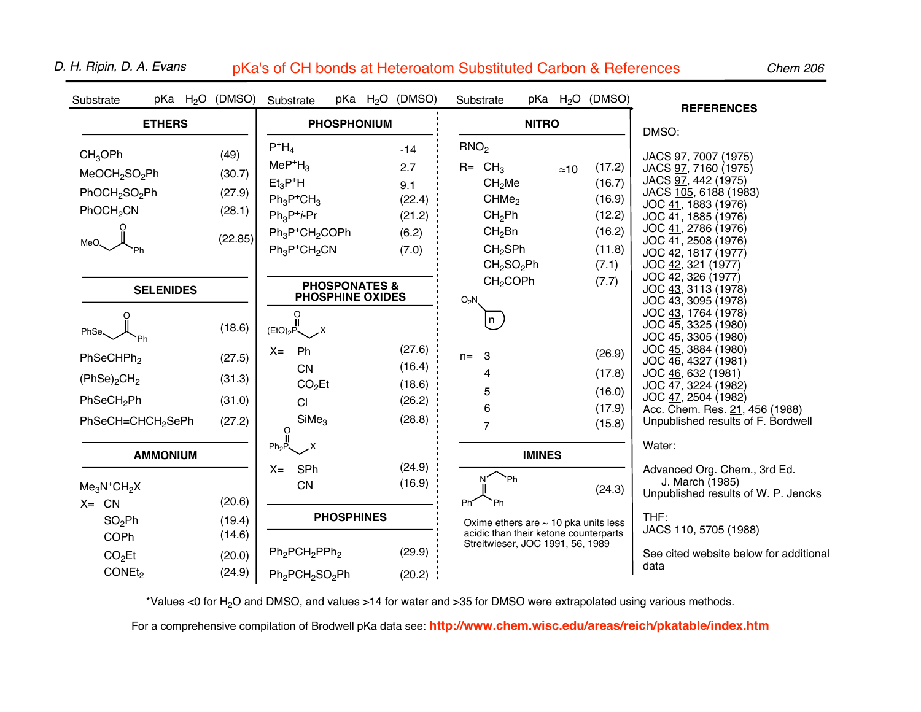| Substrate                                                                                                                              |  | pKa $H_2O$ (DMSO)                             | Substrate                                                                                                             |                          |  | pKa H <sub>2</sub> O (DMSO)                               | Substrate                                                                                                                                                               |               |              | pKa H <sub>2</sub> O (DMSO)                                       | <b>REFERENCES</b>                                                                                                                                                                                                                     |  |  |  |
|----------------------------------------------------------------------------------------------------------------------------------------|--|-----------------------------------------------|-----------------------------------------------------------------------------------------------------------------------|--------------------------|--|-----------------------------------------------------------|-------------------------------------------------------------------------------------------------------------------------------------------------------------------------|---------------|--------------|-------------------------------------------------------------------|---------------------------------------------------------------------------------------------------------------------------------------------------------------------------------------------------------------------------------------|--|--|--|
| <b>ETHERS</b>                                                                                                                          |  |                                               | <b>PHOSPHONIUM</b>                                                                                                    |                          |  |                                                           |                                                                                                                                                                         | <b>NITRO</b>  |              |                                                                   | DMSO:                                                                                                                                                                                                                                 |  |  |  |
| CH <sub>3</sub> OPh<br>MeOCH <sub>2</sub> SO <sub>2</sub> Ph<br>PhOCH <sub>2</sub> SO <sub>2</sub> Ph<br>PhOCH <sub>2</sub> CN<br>MeO. |  | (49)<br>(30.7)<br>(27.9)<br>(28.1)<br>(22.85) | $P^+H_4$<br>$MeP+H3$<br>$Et_3P^+H$<br>$Ph_3P^+CH_3$<br>$Ph_3P^+$ <i>i</i> -Pr<br>$Ph_3P^+CH_2COPh$<br>$Ph_3P^+CH_2CN$ |                          |  | $-14$<br>2.7<br>9.1<br>(22.4)<br>(21.2)<br>(6.2)<br>(7.0) | RNO <sub>2</sub><br>$R = CH3$<br>CH <sub>2</sub> Me<br>CHMe <sub>2</sub><br>CH <sub>2</sub> Ph<br>$CH2$ Bn<br>CH <sub>2</sub> SPh<br>CH <sub>2</sub> SO <sub>2</sub> Ph |               | $\approx 10$ | (17.2)<br>(16.7)<br>(16.9)<br>(12.2)<br>(16.2)<br>(11.8)<br>(7.1) | JACS 97, 7007 (1975)<br>JACS 97, 7160 (1975)<br>JACS 97, 442 (1975)<br>JACS 105, 6188 (1983)<br>JOC 41, 1883 (1976)<br>JOC 41, 1885 (1976)<br>JOC 41, 2786 (1976)<br>JOC 41, 2508 (1976)<br>JOC 42, 1817 (1977)<br>JOC 42, 321 (1977) |  |  |  |
| <b>SELENIDES</b>                                                                                                                       |  |                                               | <b>PHOSPHINE OXIDES</b>                                                                                               | <b>PHOSPONATES &amp;</b> |  |                                                           | CH <sub>2</sub> COPh<br>$O_2N$                                                                                                                                          |               |              | (7.7)                                                             | JOC 42, 326 (1977)<br>JOC 43, 3113 (1978)<br>JOC 43, 3095 (1978)                                                                                                                                                                      |  |  |  |
| PhSe.                                                                                                                                  |  | (18.6)                                        | $\overrightarrow{0}$<br>(EtO) <sub>2</sub> P $\swarrow$ X                                                             |                          |  |                                                           | n                                                                                                                                                                       |               |              |                                                                   | JOC 43, 1764 (1978)<br>JOC 45, 3325 (1980)<br>JOC 45, 3305 (1980)                                                                                                                                                                     |  |  |  |
| PhSeCHPh <sub>2</sub><br>(PhSe) <sub>2</sub> CH <sub>2</sub><br>PhSeCH <sub>2</sub> Ph<br>PhSeCH=CHCH <sub>2</sub> SePh                |  | (27.5)<br>(31.3)<br>(31.0)<br>(27.2)          | Ph<br>$X =$<br><b>CN</b><br>CO <sub>2</sub> Et<br>CI<br>SiMe <sub>3</sub><br>O                                        |                          |  | (27.6)<br>(16.4)<br>(18.6)<br>(26.2)<br>(28.8)            | 3<br>$n=$<br>4<br>5<br>6<br>$\overline{7}$                                                                                                                              |               |              | (26.9)<br>(17.8)<br>(16.0)<br>(17.9)<br>(15.8)                    | JOC 45, 3884 (1980)<br>JOC 46, 4327 (1981)<br>JOC 46, 632 (1981)<br>JOC 47, 3224 (1982)<br>JOC 47, 2504 (1982)<br>Acc. Chem. Res. 21, 456 (1988)<br>Unpublished results of F. Bordwell                                                |  |  |  |
| <b>AMMONIUM</b><br>$Me3N+CH2X$<br>$X = CN$                                                                                             |  | (20.6)                                        | $Ph_2P$<br>.x<br>SPh<br>$X =$<br>CN                                                                                   |                          |  | (24.9)<br>(16.9)                                          | Ph<br>Ph'<br>Ph                                                                                                                                                         | <b>IMINES</b> |              | (24.3)                                                            | Water:<br>Advanced Org. Chem., 3rd Ed.<br>J. March (1985)<br>Unpublished results of W. P. Jencks                                                                                                                                      |  |  |  |
| $SO_2Ph$<br>COPh<br>CO <sub>2</sub> Et<br>CONE <sub>t2</sub>                                                                           |  | (19.4)<br>(14.6)<br>(20.0)<br>(24.9)          | $Ph_2PCH_2PPh_2$<br>Ph <sub>2</sub> PCH <sub>2</sub> SO <sub>2</sub> Ph                                               | <b>PHOSPHINES</b>        |  | (29.9)<br>(20.2)                                          | Oxime ethers are $\sim$ 10 pka units less<br>acidic than their ketone counterparts<br>Streitwieser, JOC 1991, 56, 1989                                                  |               |              |                                                                   | THF:<br>JACS 110, 5705 (1988)<br>See cited website below for additional<br>data                                                                                                                                                       |  |  |  |

D. H. Ripin, D. A. Evans pKa's of CH bonds at Heteroatom Substituted Carbon & References

Chem 206

\*Values <0 for H<sub>2</sub>O and DMSO, and values >14 for water and >35 for DMSO were extrapolated using various methods.

For a comprehensive compilation of Brodwell pKa data see: **http://www.chem.wisc.edu/areas/reich/pkatable/index.htm**